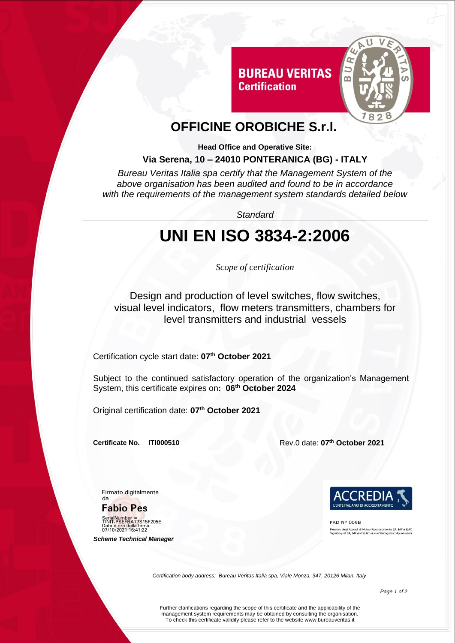

# **OFFICINE OROBICHE S.r.l.**

**Certification** 

**Head Office and Operative Site:**

#### **Via Serena, 10 – 24010 PONTERANICA (BG) - ITALY**

*Bureau Veritas Italia spa certify that the Management System of the above organisation has been audited and found to be in accordance with the requirements of the management system standards detailed below*

*Standard*

# **UNI EN ISO 3834-2:2006**

*Scope of certification*

Design and production of level switches, flow switches, visual level indicators, flow meters transmitters, chambers for level transmitters and industrial vessels

Certification cycle start date: **07th October 2021**

Subject to the continued satisfactory operation of the organization's Management System, this certificate expires on**: 06th October 2024**

Original certification date: **07th October 2021**

**Certificate No. ITI000510** Rev.0 date: **07th October 2021**

Firmato digitalmente da

**Fabio Pes**

SerialNumber =<br>TINIT-PSEFBA77S15F205E Data e ora della firma: 07/10/2021 16:41:22

 *Scheme Technical Manager*



PRD Nº 009B .<br>Membro degli Accordi di Mutuo Riconoscimento EA, IAF e ILAC<br>iignatory of EA, IAF and ILAC mutual Recognition Agreements

*Certification body address: Bureau Veritas Italia spa, Viale Monza, 347, 20126 Milan, Italy*

Further clarifications regarding the scope of this certificate and the applicability of the management system requirements may be obtained by consulting the organisation. To check this certificate validity please refer to the website www.bureauveritas.it